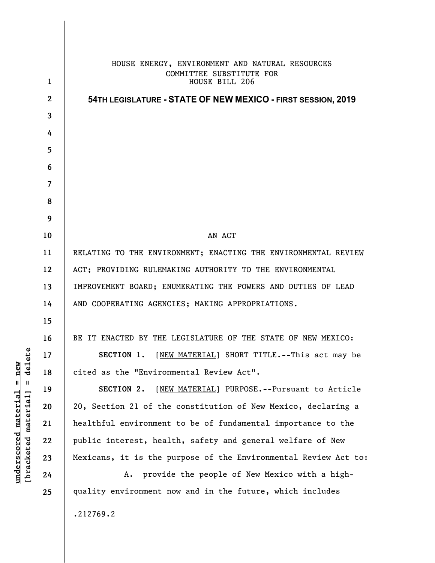|                  | HOUSE ENERGY, ENVIRONMENT AND NATURAL RESOURCES<br>COMMITTEE SUBSTITUTE FOR |
|------------------|-----------------------------------------------------------------------------|
| $\mathbf 1$      | HOUSE BILL 206                                                              |
| $\boldsymbol{2}$ | 54TH LEGISLATURE - STATE OF NEW MEXICO - FIRST SESSION, 2019                |
| 3                |                                                                             |
| 4                |                                                                             |
| 5                |                                                                             |
| 6                |                                                                             |
| 7                |                                                                             |
| 8                |                                                                             |
| 9                |                                                                             |
| 10               | AN ACT                                                                      |
| 11               | RELATING TO THE ENVIRONMENT; ENACTING THE ENVIRONMENTAL REVIEW              |
| 12               | ACT; PROVIDING RULEMAKING AUTHORITY TO THE ENVIRONMENTAL                    |
| 13               | IMPROVEMENT BOARD; ENUMERATING THE POWERS AND DUTIES OF LEAD                |
| 14               | AND COOPERATING AGENCIES; MAKING APPROPRIATIONS.                            |
| 15               |                                                                             |
| 16               | BE IT ENACTED BY THE LEGISLATURE OF THE STATE OF NEW MEXICO:                |
| 17               | [NEW MATERIAL] SHORT TITLE.--This act may be<br>SECTION 1.                  |
| 18               | cited as the "Environmental Review Act".                                    |
| 19               | [NEW MATERIAL] PURPOSE.--Pursuant to Article<br>SECTION 2.                  |
| 20               | 20, Section 21 of the constitution of New Mexico, declaring a               |
| 21               | healthful environment to be of fundamental importance to the                |
| 22               | public interest, health, safety and general welfare of New                  |
| 23               | Mexicans, it is the purpose of the Environmental Review Act to:             |
| 24               | provide the people of New Mexico with a high-<br>Α.                         |
| 25               | quality environment now and in the future, which includes                   |
|                  | .212769.2                                                                   |

 $[**bracket** etc.**eted** meter $at$ ]. = delete$ **[bracketed material] = delete**  $underscored material = new$ **underscored material = new**

 $\overline{\phantom{a}}$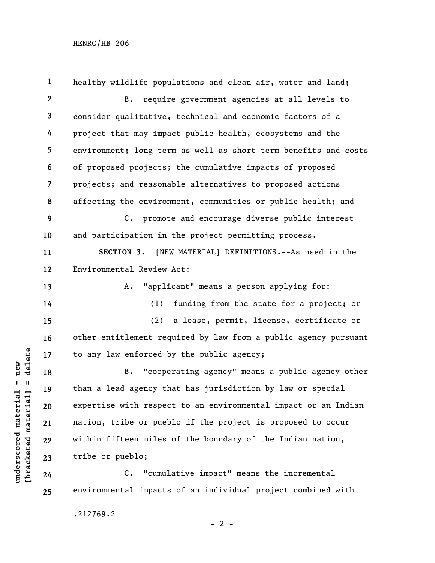**1**  healthy wildlife populations and clean air, water and land; **2**  B. require government agencies at all levels to **3**  consider qualitative, technical and economic factors of a **4**  project that may impact public health, ecosystems and the **5**  environment; long-term as well as short-term benefits and costs **6**  of proposed projects; the cumulative impacts of proposed projects; and reasonable alternatives to proposed actions **7**  affecting the environment, communities or public health; and **8 9**  C. promote and encourage diverse public interest **10**  and participation in the project permitting process. **SECTION 3.** [NEW MATERIAL] DEFINITIONS.--As used in the **11**  Environmental Review Act: **12**  A. "applicant" means a person applying for: **13**  (1) funding from the state for a project; or **14**  (2) a lease, permit, license, certificate or **15**  other entitlement required by law from a public agency pursuant **16**   $b$ racketed material] = delete **[bracketed material] = delete** to any law enforced by the public agency; **17**  B. "cooperating agency" means a public agency other **18**  than a lead agency that has jurisdiction by law or special **19**  expertise with respect to an environmental impact or an Indian **20**  nation, tribe or pueblo if the project is proposed to occur **21**  within fifteen miles of the boundary of the Indian nation, **22**  tribe or pueblo; **23**  C. "cumulative impact" means the incremental **24**  environmental impacts of an individual project combined with **25** 

.212769.2

**underscored material = new**

 $underscored material = new$ 

 $- 2 -$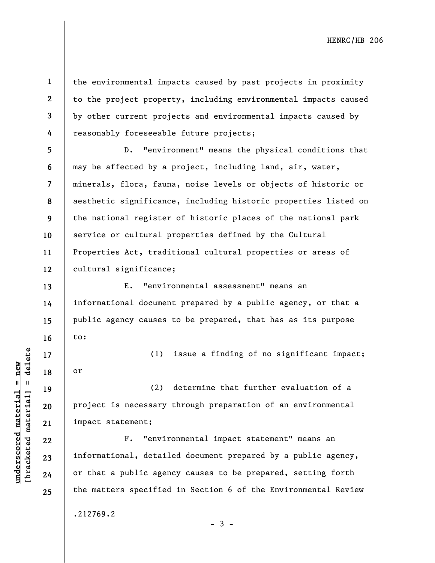$b$ racketed material] = delete **[bracketed material] = delete**  $underscored material = new$ **underscored material = new**

**1** 

**2** 

**3** 

**4** 

**13** 

**14** 

**15** 

**16** 

**19** 

**20** 

**21** 

**22** 

**23** 

**24** 

**25** 

the environmental impacts caused by past projects in proximity to the project property, including environmental impacts caused by other current projects and environmental impacts caused by reasonably foreseeable future projects;

**5 6 7 8 9 10 11 12**  D. "environment" means the physical conditions that may be affected by a project, including land, air, water, minerals, flora, fauna, noise levels or objects of historic or aesthetic significance, including historic properties listed on the national register of historic places of the national park service or cultural properties defined by the Cultural Properties Act, traditional cultural properties or areas of cultural significance;

E. "environmental assessment" means an informational document prepared by a public agency, or that a public agency causes to be prepared, that has as its purpose to:

**17 18**  (1) issue a finding of no significant impact; or

(2) determine that further evaluation of a project is necessary through preparation of an environmental impact statement;

F. "environmental impact statement" means an informational, detailed document prepared by a public agency, or that a public agency causes to be prepared, setting forth the matters specified in Section 6 of the Environmental Review

.212769.2

- 3 -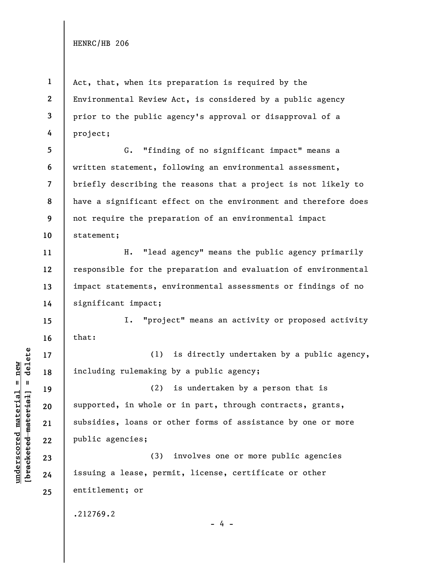**1** 

**4** 

**11** 

**12** 

**13** 

**14** 

**15** 

**16** 

**17** 

**18** 

**19** 

**20** 

**21** 

**22** 

**23** 

**24** 

**25** 

**2 3**  Act, that, when its preparation is required by the Environmental Review Act, is considered by a public agency prior to the public agency's approval or disapproval of a project;

**5 6 7 8 9 10**  G. "finding of no significant impact" means a written statement, following an environmental assessment, briefly describing the reasons that a project is not likely to have a significant effect on the environment and therefore does not require the preparation of an environmental impact statement;

H. "lead agency" means the public agency primarily responsible for the preparation and evaluation of environmental impact statements, environmental assessments or findings of no significant impact;

I. "project" means an activity or proposed activity that:

(1) is directly undertaken by a public agency, including rulemaking by a public agency;

(2) is undertaken by a person that is supported, in whole or in part, through contracts, grants, subsidies, loans or other forms of assistance by one or more public agencies;

(3) involves one or more public agencies issuing a lease, permit, license, certificate or other entitlement; or

.212769.2

 $b$ racketed material] = delete **[bracketed material] = delete**  $underscored material = new$ **underscored material = new**

- 4 -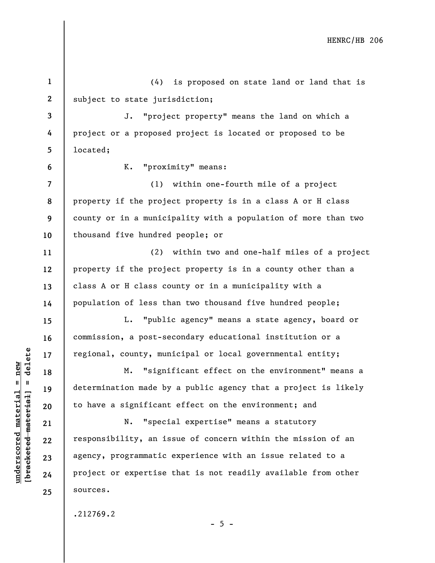**1 2 3 4 5 6 7 8 9 10 11 12 13 14 15 16 17 18 19 20 21 22 23 24 25**  (4) is proposed on state land or land that is subject to state jurisdiction; J. "project property" means the land on which a project or a proposed project is located or proposed to be located; K. "proximity" means: (1) within one-fourth mile of a project property if the project property is in a class A or H class county or in a municipality with a population of more than two thousand five hundred people; or (2) within two and one-half miles of a project property if the project property is in a county other than a class A or H class county or in a municipality with a population of less than two thousand five hundred people; L. "public agency" means a state agency, board or commission, a post-secondary educational institution or a regional, county, municipal or local governmental entity; M. "significant effect on the environment" means a determination made by a public agency that a project is likely to have a significant effect on the environment; and N. "special expertise" means a statutory responsibility, an issue of concern within the mission of an agency, programmatic experience with an issue related to a project or expertise that is not readily available from other sources. .212769.2

 $b$ racketed material] = delete **[bracketed material] = delete**  $underscored material = new$ **underscored material = new**

 $- 5 -$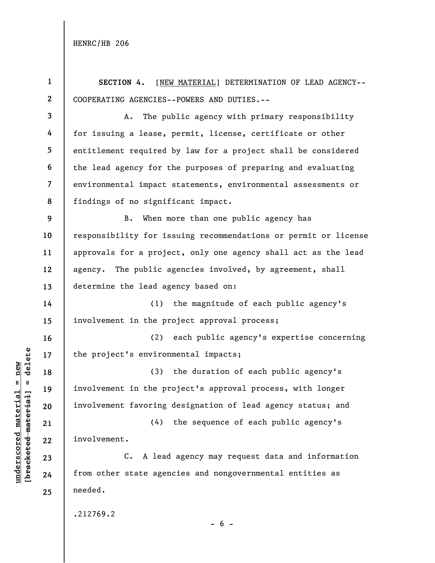**1 2 3 4 5 6 7 8 9 10 11 12 13 14 15 16 17 18 19 20 21 22 23 SECTION 4.** [NEW MATERIAL] DETERMINATION OF LEAD AGENCY-- COOPERATING AGENCIES--POWERS AND DUTIES.-- A. The public agency with primary responsibility for issuing a lease, permit, license, certificate or other entitlement required by law for a project shall be considered the lead agency for the purposes of preparing and evaluating environmental impact statements, environmental assessments or findings of no significant impact. B. When more than one public agency has responsibility for issuing recommendations or permit or license approvals for a project, only one agency shall act as the lead agency. The public agencies involved, by agreement, shall determine the lead agency based on: (1) the magnitude of each public agency's involvement in the project approval process; (2) each public agency's expertise concerning the project's environmental impacts; (3) the duration of each public agency's involvement in the project's approval process, with longer involvement favoring designation of lead agency status; and (4) the sequence of each public agency's involvement. C. A lead agency may request data and information

from other state agencies and nongovernmental entities as needed.

.212769.2

**underscored material = new [bracketed material] = delete**

 $b$ racketed material] = delete  $underscored material = new$ 

**24** 

**25** 

 $- 6 -$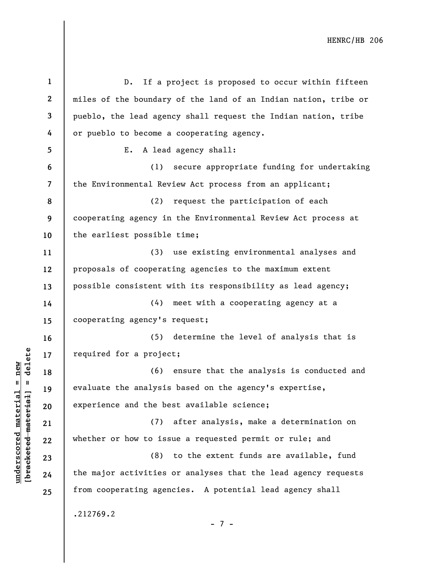**1 2 3 4 5 6 7 8 9 10 11 12 13 14 15 16 17 18 19 20 21 22 23 24 25**  D. If a project is proposed to occur within fifteen miles of the boundary of the land of an Indian nation, tribe or pueblo, the lead agency shall request the Indian nation, tribe or pueblo to become a cooperating agency. E. A lead agency shall: (1) secure appropriate funding for undertaking the Environmental Review Act process from an applicant; (2) request the participation of each cooperating agency in the Environmental Review Act process at the earliest possible time; (3) use existing environmental analyses and proposals of cooperating agencies to the maximum extent possible consistent with its responsibility as lead agency; (4) meet with a cooperating agency at a cooperating agency's request; (5) determine the level of analysis that is required for a project; (6) ensure that the analysis is conducted and evaluate the analysis based on the agency's expertise, experience and the best available science; (7) after analysis, make a determination on whether or how to issue a requested permit or rule; and (8) to the extent funds are available, fund the major activities or analyses that the lead agency requests from cooperating agencies. A potential lead agency shall .212769.2 - 7 -

**underscored material = new [bracketed material] = delete**

 $b$ racketed material] = delete  $underscored material = new$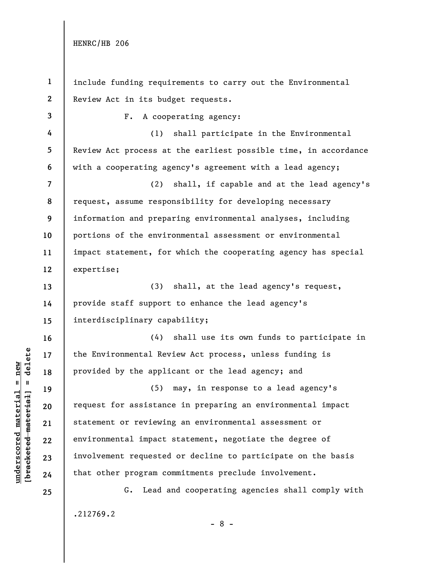**1 2 3 4 5 6 7 8 9 10 11 12 13 14 15 16 17 18 19 20 21 22 23 24 25**  include funding requirements to carry out the Environmental Review Act in its budget requests. F. A cooperating agency: (1) shall participate in the Environmental Review Act process at the earliest possible time, in accordance with a cooperating agency's agreement with a lead agency; (2) shall, if capable and at the lead agency's request, assume responsibility for developing necessary information and preparing environmental analyses, including portions of the environmental assessment or environmental impact statement, for which the cooperating agency has special expertise; (3) shall, at the lead agency's request, provide staff support to enhance the lead agency's interdisciplinary capability; (4) shall use its own funds to participate in the Environmental Review Act process, unless funding is provided by the applicant or the lead agency; and (5) may, in response to a lead agency's request for assistance in preparing an environmental impact statement or reviewing an environmental assessment or environmental impact statement, negotiate the degree of involvement requested or decline to participate on the basis that other program commitments preclude involvement. G. Lead and cooperating agencies shall comply with .212769.2

 $b$ racketed material] = delete **[bracketed material] = delete**  $underscored material = new$ **underscored material = new**

- 8 -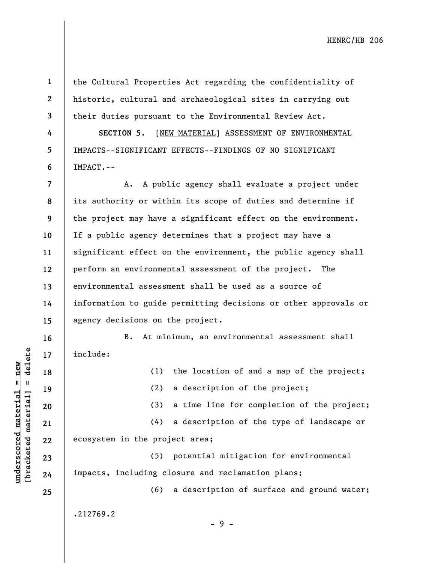**2** 

**3** 

**4** 

**5** 

**6** 

**1** 

the Cultural Properties Act regarding the confidentiality of historic, cultural and archaeological sites in carrying out their duties pursuant to the Environmental Review Act.

**SECTION 5.** [NEW MATERIAL] ASSESSMENT OF ENVIRONMENTAL IMPACTS--SIGNIFICANT EFFECTS--FINDINGS OF NO SIGNIFICANT IMPACT.--

**7 8 9 10 11 12 13 14 15**  A. A public agency shall evaluate a project under its authority or within its scope of duties and determine if the project may have a significant effect on the environment. If a public agency determines that a project may have a significant effect on the environment, the public agency shall perform an environmental assessment of the project. The environmental assessment shall be used as a source of information to guide permitting decisions or other approvals or agency decisions on the project.

**16 17** 

**18** 

 $b$ racketed material] = delete **[bracketed material] = delete**  $underscored material = new$ **underscored material = new**

B. At minimum, an environmental assessment shall include:

(1) the location of and a map of the project;

**19 20 21 22 23 24 25**  (2) a description of the project; (3) a time line for completion of the project; (4) a description of the type of landscape or ecosystem in the project area; (5) potential mitigation for environmental impacts, including closure and reclamation plans; (6) a description of surface and ground water; .212769.2

- 9 -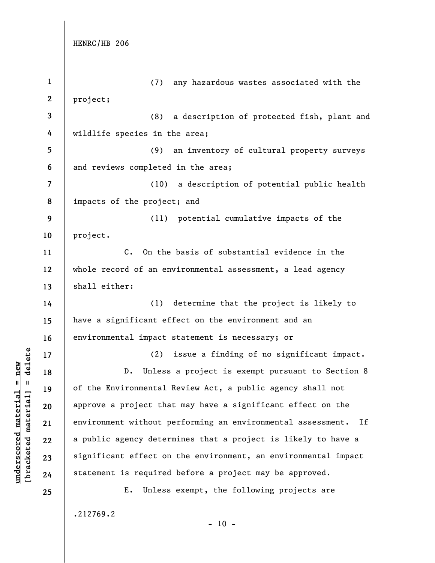**underscored material = new [bracketed material] = delete**

 $\frac{\text{underscored material} = \text{new}}{(\text{bracketed material}) = \text{dev}}$ 

| $\mathbf{1}$             | any hazardous wastes associated with the<br>(7)                   |
|--------------------------|-------------------------------------------------------------------|
| $\boldsymbol{2}$         | project;                                                          |
| 3                        | (8)<br>a description of protected fish, plant and                 |
| 4                        | wildlife species in the area;                                     |
| 5                        | an inventory of cultural property surveys<br>(9)                  |
| 6                        | and reviews completed in the area;                                |
| $\overline{\mathcal{L}}$ | (10) a description of potential public health                     |
| 8                        | impacts of the project; and                                       |
| 9                        | (11) potential cumulative impacts of the                          |
| 10                       | project.                                                          |
| 11                       | $C_{\bullet}$<br>On the basis of substantial evidence in the      |
| 12                       | whole record of an environmental assessment, a lead agency        |
| 13                       | shall either:                                                     |
| 14                       | (1) determine that the project is likely to                       |
| 15                       | have a significant effect on the environment and an               |
| 16                       | environmental impact statement is necessary; or                   |
| 17                       | issue a finding of no significant impact.<br>(2)                  |
| 18                       | Unless a project is exempt pursuant to Section 8<br>$D$ .         |
| 19                       | of the Environmental Review Act, a public agency shall not        |
| 20                       | approve a project that may have a significant effect on the       |
| 21                       | environment without performing an environmental assessment.<br>If |
| 22                       | a public agency determines that a project is likely to have a     |
| 23                       | significant effect on the environment, an environmental impact    |
| 24                       | statement is required before a project may be approved.           |
| 25                       | Unless exempt, the following projects are<br>Ε.                   |
|                          | .212769.2                                                         |

- 10 -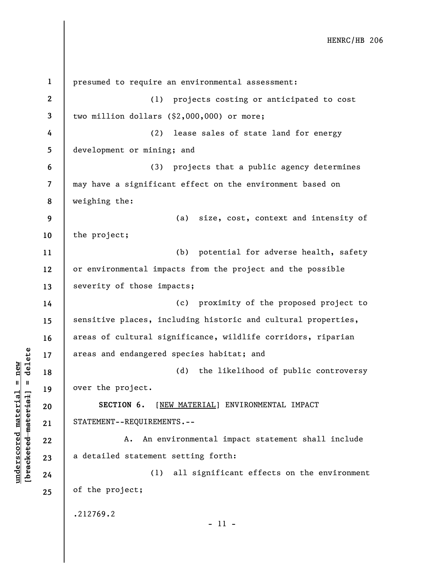**1 2 3 4 5 6 7 8 9 10 11 12 13 14 15 16 17 18 19 20 21 22 23 24 25**  presumed to require an environmental assessment: (1) projects costing or anticipated to cost two million dollars (\$2,000,000) or more; (2) lease sales of state land for energy development or mining; and (3) projects that a public agency determines may have a significant effect on the environment based on weighing the: (a) size, cost, context and intensity of the project; (b) potential for adverse health, safety or environmental impacts from the project and the possible severity of those impacts; (c) proximity of the proposed project to sensitive places, including historic and cultural properties, areas of cultural significance, wildlife corridors, riparian areas and endangered species habitat; and (d) the likelihood of public controversy over the project. **SECTION 6.** [NEW MATERIAL] ENVIRONMENTAL IMPACT STATEMENT--REQUIREMENTS.-- A. An environmental impact statement shall include a detailed statement setting forth: (1) all significant effects on the environment of the project; .212769.2 - 11 -

**underscored material = new [bracketed material] = delete**

 $b$ racketed material] = delete  $underscored material = new$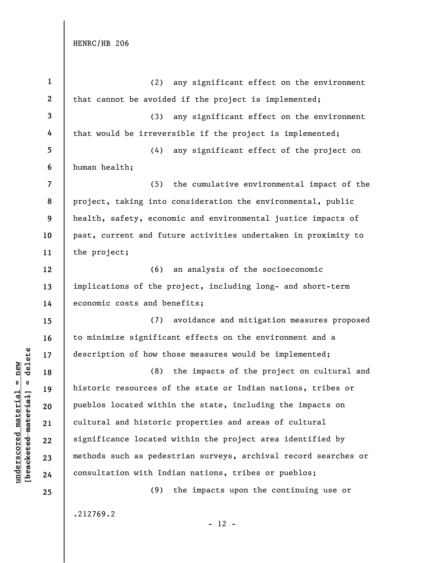**underscored material = new [bracketed material] = delete**

 $[**bracket**et~~eted matcherial~~] = **delete**$  $underscored material = new$ 

| $\mathbf{1}$             | (2) any significant effect on the environment                   |  |  |  |
|--------------------------|-----------------------------------------------------------------|--|--|--|
| $\mathbf{2}$             | that cannot be avoided if the project is implemented;           |  |  |  |
| 3                        | (3) any significant effect on the environment                   |  |  |  |
| 4                        | that would be irreversible if the project is implemented;       |  |  |  |
| 5                        | (4)<br>any significant effect of the project on                 |  |  |  |
| 6                        | human health;                                                   |  |  |  |
| $\overline{\mathcal{L}}$ | (5)<br>the cumulative environmental impact of the               |  |  |  |
| 8                        | project, taking into consideration the environmental, public    |  |  |  |
| 9                        | health, safety, economic and environmental justice impacts of   |  |  |  |
| 10                       | past, current and future activities undertaken in proximity to  |  |  |  |
| 11                       | the project;                                                    |  |  |  |
| 12                       | (6) an analysis of the socioeconomic                            |  |  |  |
| 13                       | implications of the project, including long- and short-term     |  |  |  |
| 14                       | economic costs and benefits;                                    |  |  |  |
| 15                       | (7) avoidance and mitigation measures proposed                  |  |  |  |
| 16                       | to minimize significant effects on the environment and a        |  |  |  |
| 17                       | description of how those measures would be implemented;         |  |  |  |
| 18                       | the impacts of the project on cultural and<br>(8)               |  |  |  |
| 19                       | historic resources of the state or Indian nations, tribes or    |  |  |  |
| 20                       | pueblos located within the state, including the impacts on      |  |  |  |
| 21                       | cultural and historic properties and areas of cultural          |  |  |  |
| 22                       | significance located within the project area identified by      |  |  |  |
| 23                       | methods such as pedestrian surveys, archival record searches or |  |  |  |
| 24                       | consultation with Indian nations, tribes or pueblos;            |  |  |  |
| 25                       | the impacts upon the continuing use or<br>(9)                   |  |  |  |
|                          | .212769.2                                                       |  |  |  |

- 12 -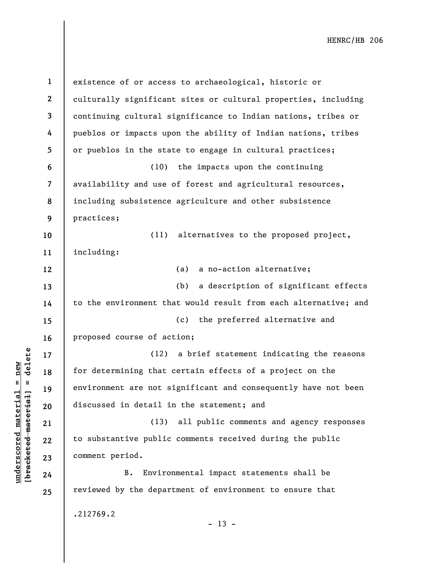**1 2 3 4 5 6 7 8 9 10 11 12 13 14 15 16 17 18 19 20 21 22 23 24 25**  existence of or access to archaeological, historic or culturally significant sites or cultural properties, including continuing cultural significance to Indian nations, tribes or pueblos or impacts upon the ability of Indian nations, tribes or pueblos in the state to engage in cultural practices; (10) the impacts upon the continuing availability and use of forest and agricultural resources, including subsistence agriculture and other subsistence practices; (11) alternatives to the proposed project, including: (a) a no-action alternative; (b) a description of significant effects to the environment that would result from each alternative; and (c) the preferred alternative and proposed course of action; (12) a brief statement indicating the reasons for determining that certain effects of a project on the environment are not significant and consequently have not been discussed in detail in the statement; and (13) all public comments and agency responses to substantive public comments received during the public comment period. B. Environmental impact statements shall be reviewed by the department of environment to ensure that .212769.2  $- 13 -$ 

**underscored material = new [bracketed material] = delete**

 $\frac{1}{2}$  bracketed material] = delete  $underscored material = new$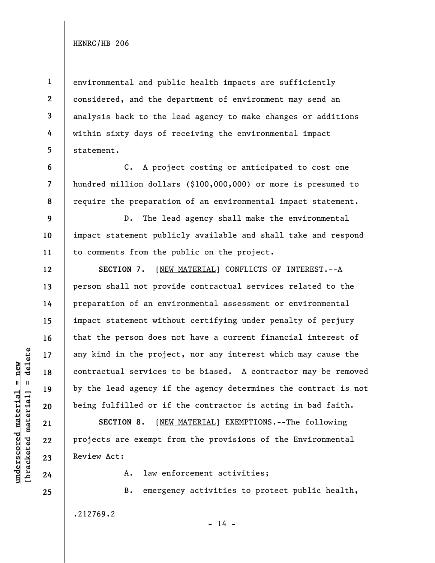**1** 

**4** 

**5** 

**6** 

**7** 

**8** 

**12** 

**13** 

**14** 

**15** 

**16** 

**17** 

**18** 

**19** 

**20** 

**21** 

**22** 

**23** 

**24** 

**25** 

**2 3**  environmental and public health impacts are sufficiently considered, and the department of environment may send an analysis back to the lead agency to make changes or additions within sixty days of receiving the environmental impact statement.

C. A project costing or anticipated to cost one hundred million dollars (\$100,000,000) or more is presumed to require the preparation of an environmental impact statement.

**9 10 11**  D. The lead agency shall make the environmental impact statement publicly available and shall take and respond to comments from the public on the project.

**SECTION 7.** [NEW MATERIAL] CONFLICTS OF INTEREST.--A person shall not provide contractual services related to the preparation of an environmental assessment or environmental impact statement without certifying under penalty of perjury that the person does not have a current financial interest of any kind in the project, nor any interest which may cause the contractual services to be biased. A contractor may be removed by the lead agency if the agency determines the contract is not being fulfilled or if the contractor is acting in bad faith.

**SECTION 8.** [NEW MATERIAL] EXEMPTIONS.--The following projects are exempt from the provisions of the Environmental Review Act:

A. law enforcement activities;

B. emergency activities to protect public health, .212769.2

 $- 14 -$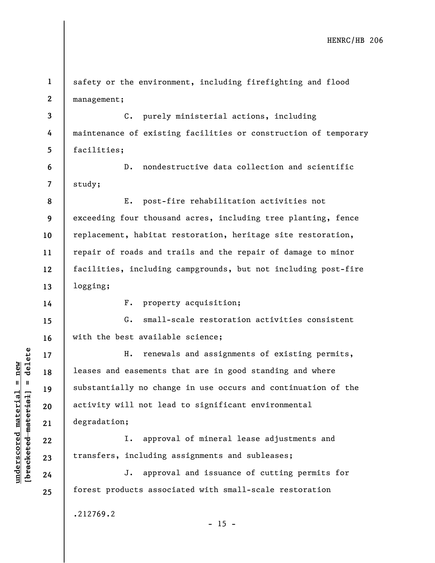**1 2**  safety or the environment, including firefighting and flood management;

**3 4 5**  C. purely ministerial actions, including maintenance of existing facilities or construction of temporary facilities;

**6 7**  D. nondestructive data collection and scientific study;

**8 9 10 11 12 13**  E. post-fire rehabilitation activities not exceeding four thousand acres, including tree planting, fence replacement, habitat restoration, heritage site restoration, repair of roads and trails and the repair of damage to minor facilities, including campgrounds, but not including post-fire logging;

**14** 

**17** 

**18** 

**19** 

**20** 

**21** 

**22** 

**23** 

**24** 

**25** 

F. property acquisition;

**15 16**  G. small-scale restoration activities consistent with the best available science;

H. renewals and assignments of existing permits, leases and easements that are in good standing and where substantially no change in use occurs and continuation of the activity will not lead to significant environmental degradation;

I. approval of mineral lease adjustments and transfers, including assignments and subleases;

J. approval and issuance of cutting permits for forest products associated with small-scale restoration

 $- 15 -$ 

.212769.2

 $b$ racketed material] = delete **[bracketed material] = delete**  $underscored material = new$ **underscored material = new**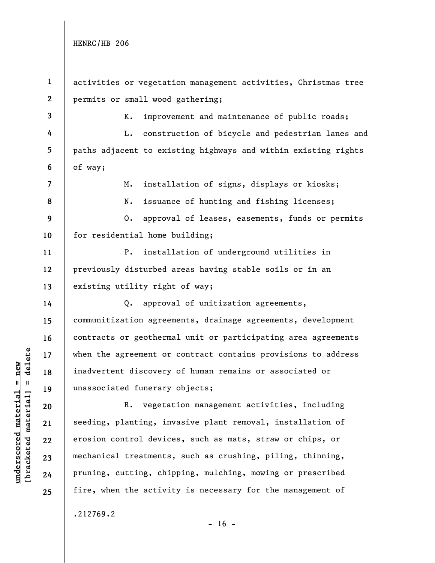**3** 

**4** 

**5** 

**6** 

**7** 

**8** 

**14** 

**15** 

**16** 

**17** 

**18** 

**19** 

**20** 

**21** 

**22** 

**23** 

**24** 

**25** 

**1 2**  activities or vegetation management activities, Christmas tree permits or small wood gathering;

K. improvement and maintenance of public roads;

L. construction of bicycle and pedestrian lanes and paths adjacent to existing highways and within existing rights of way;

M. installation of signs, displays or kiosks;

N. issuance of hunting and fishing licenses;

**9 10**  O. approval of leases, easements, funds or permits for residential home building;

**11 12 13**  P. installation of underground utilities in previously disturbed areas having stable soils or in an existing utility right of way;

Q. approval of unitization agreements, communitization agreements, drainage agreements, development contracts or geothermal unit or participating area agreements when the agreement or contract contains provisions to address inadvertent discovery of human remains or associated or unassociated funerary objects;

R. vegetation management activities, including seeding, planting, invasive plant removal, installation of erosion control devices, such as mats, straw or chips, or mechanical treatments, such as crushing, piling, thinning, pruning, cutting, chipping, mulching, mowing or prescribed fire, when the activity is necessary for the management of

.212769.2

 $\frac{1}{2}$  bracketed material] = delete **[bracketed material] = delete**  $underscored material = new$ **underscored material = new**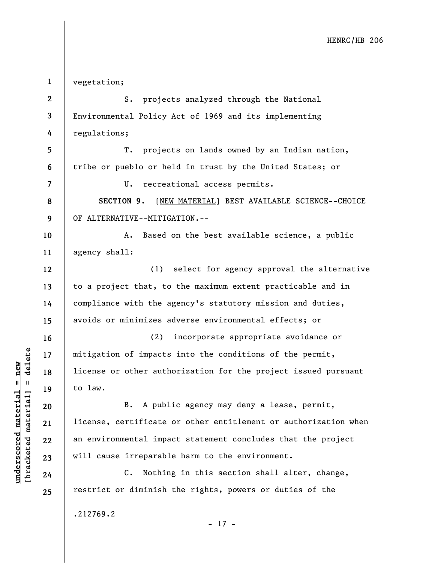**1 2 3 4 5 6 7 8 9 10 11 12 13 14 15 16 17 18 19 20 21 22 23 24 25**  vegetation; S. projects analyzed through the National Environmental Policy Act of 1969 and its implementing regulations; T. projects on lands owned by an Indian nation, tribe or pueblo or held in trust by the United States; or U. recreational access permits. **SECTION 9.** [NEW MATERIAL] BEST AVAILABLE SCIENCE--CHOICE OF ALTERNATIVE--MITIGATION.-- A. Based on the best available science, a public agency shall: (1) select for agency approval the alternative to a project that, to the maximum extent practicable and in compliance with the agency's statutory mission and duties, avoids or minimizes adverse environmental effects; or (2) incorporate appropriate avoidance or mitigation of impacts into the conditions of the permit, license or other authorization for the project issued pursuant to law. B. A public agency may deny a lease, permit, license, certificate or other entitlement or authorization when an environmental impact statement concludes that the project will cause irreparable harm to the environment. C. Nothing in this section shall alter, change, restrict or diminish the rights, powers or duties of the .212769.2 - 17 -

**underscored material = new [bracketed material] = delete**

 $b$ racketed material] = delete  $underscored material = new$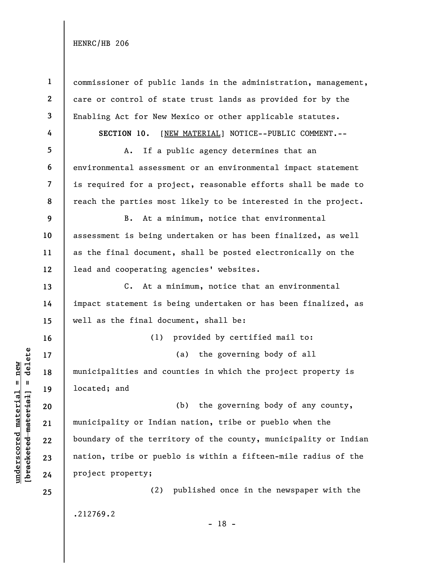| $\mathbf{1}$    | commissioner of public lands in the administration, management, |
|-----------------|-----------------------------------------------------------------|
| $\mathbf{2}$    | care or control of state trust lands as provided for by the     |
| $\mathbf{3}$    | Enabling Act for New Mexico or other applicable statutes.       |
| 4               | SECTION 10.<br>[NEW MATERIAL] NOTICE--PUBLIC COMMENT.--         |
| $5\phantom{.0}$ | If a public agency determines that an<br>Α.                     |
| 6               | environmental assessment or an environmental impact statement   |
| $\overline{7}$  | is required for a project, reasonable efforts shall be made to  |
| 8               | reach the parties most likely to be interested in the project.  |
| 9               | At a minimum, notice that environmental<br>B.                   |
| 10              | assessment is being undertaken or has been finalized, as well   |
| 11              | as the final document, shall be posted electronically on the    |
| 12              | lead and cooperating agencies' websites.                        |
| 13              | C. At a minimum, notice that an environmental                   |
| 14              | impact statement is being undertaken or has been finalized, as  |
| 15              | well as the final document, shall be:                           |
| 16              | provided by certified mail to:<br>(1)                           |
| 17              | the governing body of all<br>(a)                                |
| 18              | municipalities and counties in which the project property is    |
| 19              | located; and                                                    |
| 20              | the governing body of any county,<br>(b)                        |
| 21              | municipality or Indian nation, tribe or pueblo when the         |
| 22              | boundary of the territory of the county, municipality or Indian |
| 23              | nation, tribe or pueblo is within a fifteen-mile radius of the  |
| 24              | project property;                                               |
| 25              | (2) published once in the newspaper with the                    |
|                 | .212769.2<br>1 ດ                                                |

 $\frac{\text{underscored material} = \text{new}}{(\text{bracketed material})}$ **[bracketed material] = delete underscored material = new**

- 18 -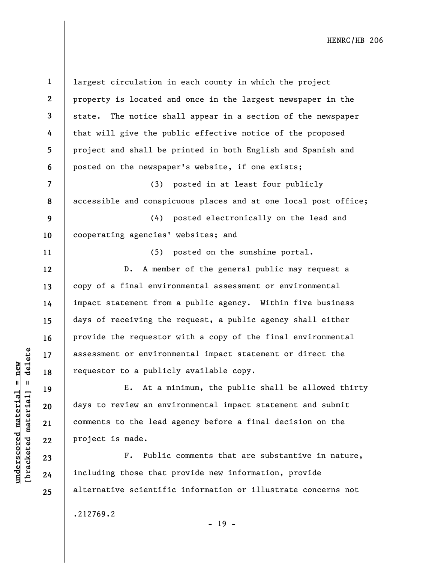**1 2 3 4 5 6 7 8 9 10 11 12 13 14 15 16 17 18 19 20 21 22 23 24 25**  largest circulation in each county in which the project property is located and once in the largest newspaper in the state. The notice shall appear in a section of the newspaper that will give the public effective notice of the proposed project and shall be printed in both English and Spanish and posted on the newspaper's website, if one exists; (3) posted in at least four publicly accessible and conspicuous places and at one local post office; (4) posted electronically on the lead and cooperating agencies' websites; and (5) posted on the sunshine portal. D. A member of the general public may request a copy of a final environmental assessment or environmental impact statement from a public agency. Within five business days of receiving the request, a public agency shall either provide the requestor with a copy of the final environmental assessment or environmental impact statement or direct the requestor to a publicly available copy. E. At a minimum, the public shall be allowed thirty days to review an environmental impact statement and submit comments to the lead agency before a final decision on the project is made. F. Public comments that are substantive in nature, including those that provide new information, provide alternative scientific information or illustrate concerns not

.212769.2

**underscored material = new [bracketed material] = delete**

 $b$ racketed material] = delete  $underscored material = new$ 

- 19 -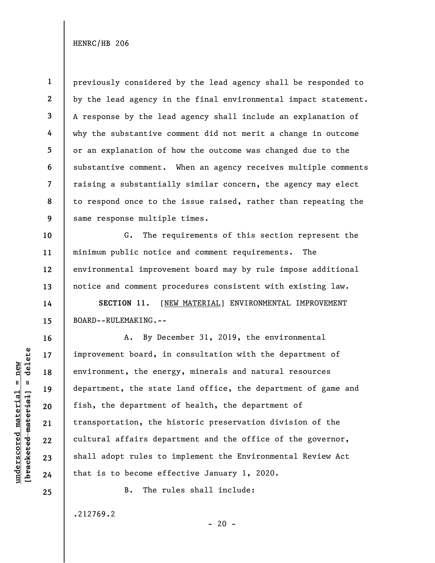**1 2 3 4 5 6 7 8 9**  previously considered by the lead agency shall be responded to by the lead agency in the final environmental impact statement. A response by the lead agency shall include an explanation of why the substantive comment did not merit a change in outcome or an explanation of how the outcome was changed due to the substantive comment. When an agency receives multiple comments raising a substantially similar concern, the agency may elect to respond once to the issue raised, rather than repeating the same response multiple times.

**10 12 13**  G. The requirements of this section represent the minimum public notice and comment requirements. The environmental improvement board may by rule impose additional notice and comment procedures consistent with existing law.

**SECTION 11.** [NEW MATERIAL] ENVIRONMENTAL IMPROVEMENT BOARD--RULEMAKING.--

A. By December 31, 2019, the environmental improvement board, in consultation with the department of environment, the energy, minerals and natural resources department, the state land office, the department of game and fish, the department of health, the department of transportation, the historic preservation division of the cultural affairs department and the office of the governor, shall adopt rules to implement the Environmental Review Act that is to become effective January 1, 2020.

 $- 20 -$ 

B. The rules shall include:

.212769.2

delete **[bracketed material] = delete**  $underscored material = new$ **underscored material = new**  $\mathbf{u}$ bracketed material **11** 

**14** 

**15** 

**16** 

**17** 

**18** 

**19** 

**20** 

**21** 

**22** 

**23** 

**24** 

**25**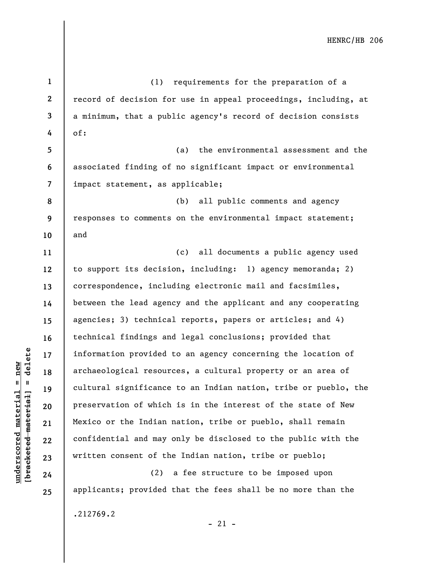**1 2 3 4 5 6 7 8 9 10 11 12 13 14 15 16 17 18 19 20 21 22 23 24 25**  (1) requirements for the preparation of a record of decision for use in appeal proceedings, including, at a minimum, that a public agency's record of decision consists of: (a) the environmental assessment and the associated finding of no significant impact or environmental impact statement, as applicable; (b) all public comments and agency responses to comments on the environmental impact statement; and (c) all documents a public agency used to support its decision, including: 1) agency memoranda; 2) correspondence, including electronic mail and facsimiles, between the lead agency and the applicant and any cooperating agencies; 3) technical reports, papers or articles; and 4) technical findings and legal conclusions; provided that information provided to an agency concerning the location of archaeological resources, a cultural property or an area of cultural significance to an Indian nation, tribe or pueblo, the preservation of which is in the interest of the state of New Mexico or the Indian nation, tribe or pueblo, shall remain confidential and may only be disclosed to the public with the written consent of the Indian nation, tribe or pueblo; (2) a fee structure to be imposed upon applicants; provided that the fees shall be no more than the

 $b$ racketed material] = delete **[bracketed material] = delete**  $underscored material = new$ **underscored material = new**

.212769.2

 $-21 -$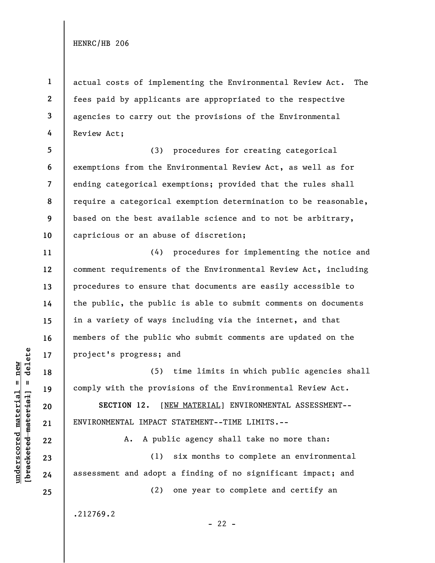**1 2 3 4**  actual costs of implementing the Environmental Review Act. The fees paid by applicants are appropriated to the respective agencies to carry out the provisions of the Environmental Review Act;

**5 6 7 8 9 10**  (3) procedures for creating categorical exemptions from the Environmental Review Act, as well as for ending categorical exemptions; provided that the rules shall require a categorical exemption determination to be reasonable, based on the best available science and to not be arbitrary, capricious or an abuse of discretion;

(4) procedures for implementing the notice and comment requirements of the Environmental Review Act, including procedures to ensure that documents are easily accessible to the public, the public is able to submit comments on documents in a variety of ways including via the internet, and that members of the public who submit comments are updated on the project's progress; and

(5) time limits in which public agencies shall comply with the provisions of the Environmental Review Act.

**SECTION 12.** [NEW MATERIAL] ENVIRONMENTAL ASSESSMENT-- ENVIRONMENTAL IMPACT STATEMENT--TIME LIMITS.--

A. A public agency shall take no more than:

(1) six months to complete an environmental assessment and adopt a finding of no significant impact; and

(2) one year to complete and certify an

.212769.2

 $b$ racketed material] = delete **[bracketed material] = delete**  $underscored material = new$ **underscored material = new**

**11** 

**12** 

**13** 

**14** 

**15** 

**16** 

**17** 

**18** 

**19** 

**20** 

**21** 

**22** 

**23** 

**24** 

**25**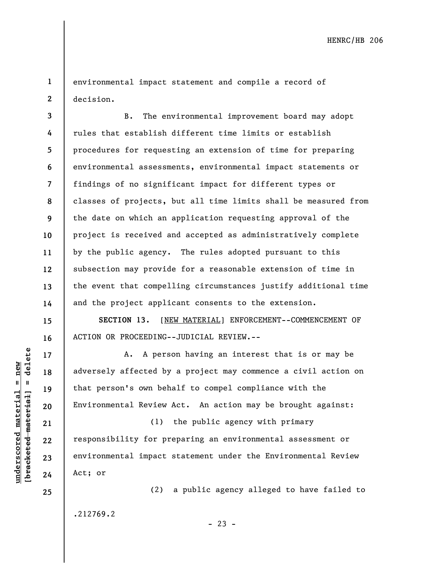**1 2**  environmental impact statement and compile a record of decision.

**3 4 5 6 7 8 9 10 11 12 13 14**  B. The environmental improvement board may adopt rules that establish different time limits or establish procedures for requesting an extension of time for preparing environmental assessments, environmental impact statements or findings of no significant impact for different types or classes of projects, but all time limits shall be measured from the date on which an application requesting approval of the project is received and accepted as administratively complete by the public agency. The rules adopted pursuant to this subsection may provide for a reasonable extension of time in the event that compelling circumstances justify additional time and the project applicant consents to the extension.

**SECTION 13.** [NEW MATERIAL] ENFORCEMENT--COMMENCEMENT OF ACTION OR PROCEEDING--JUDICIAL REVIEW.--

A. A person having an interest that is or may be adversely affected by a project may commence a civil action on that person's own behalf to compel compliance with the Environmental Review Act. An action may be brought against:

(1) the public agency with primary responsibility for preparing an environmental assessment or environmental impact statement under the Environmental Review Act; or

(2) a public agency alleged to have failed to .212769.2

**15** 

**16** 

**17** 

**18** 

**19** 

**20** 

**21** 

**22** 

**23** 

**24** 

**25** 

 $- 23 -$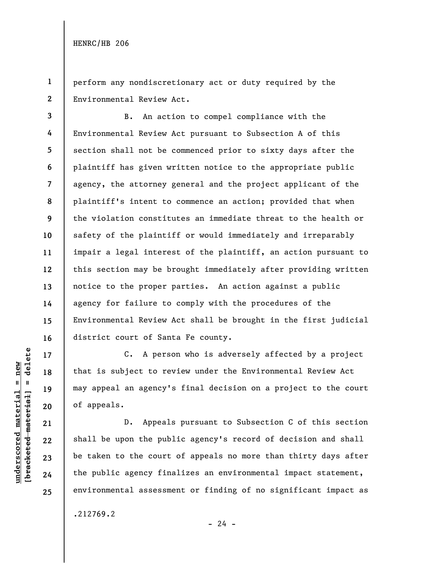**1 2**  perform any nondiscretionary act or duty required by the Environmental Review Act.

**3 4 5 6 7 8 9 10 11 12 13 14 15 16**  B. An action to compel compliance with the Environmental Review Act pursuant to Subsection A of this section shall not be commenced prior to sixty days after the plaintiff has given written notice to the appropriate public agency, the attorney general and the project applicant of the plaintiff's intent to commence an action; provided that when the violation constitutes an immediate threat to the health or safety of the plaintiff or would immediately and irreparably impair a legal interest of the plaintiff, an action pursuant to this section may be brought immediately after providing written notice to the proper parties. An action against a public agency for failure to comply with the procedures of the Environmental Review Act shall be brought in the first judicial district court of Santa Fe county.

C. A person who is adversely affected by a project that is subject to review under the Environmental Review Act may appeal an agency's final decision on a project to the court of appeals.

D. Appeals pursuant to Subsection C of this section shall be upon the public agency's record of decision and shall be taken to the court of appeals no more than thirty days after the public agency finalizes an environmental impact statement, environmental assessment or finding of no significant impact as

.212769.2

 $- 24 -$ 

**17** 

**18** 

**19** 

**20** 

**21** 

**22** 

**23** 

**24** 

**25**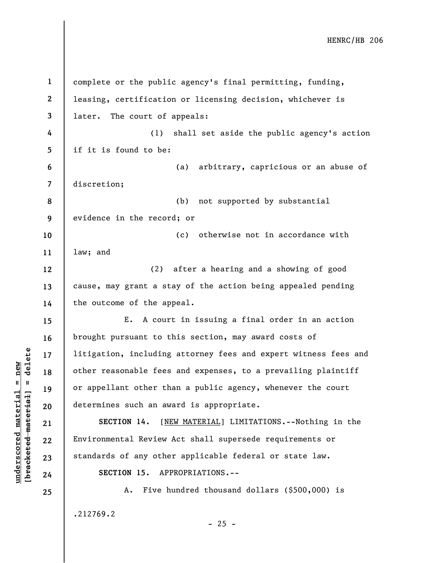**1 2 3 4 5 6 7 8 9 10 11 12 13 14 15 16 17 18 19 20 21 22 23 24 25**  complete or the public agency's final permitting, funding, leasing, certification or licensing decision, whichever is later. The court of appeals: (1) shall set aside the public agency's action if it is found to be: (a) arbitrary, capricious or an abuse of discretion; (b) not supported by substantial evidence in the record; or (c) otherwise not in accordance with law; and (2) after a hearing and a showing of good cause, may grant a stay of the action being appealed pending the outcome of the appeal. E. A court in issuing a final order in an action brought pursuant to this section, may award costs of litigation, including attorney fees and expert witness fees and other reasonable fees and expenses, to a prevailing plaintiff or appellant other than a public agency, whenever the court determines such an award is appropriate. **SECTION 14.** [NEW MATERIAL] LIMITATIONS.--Nothing in the Environmental Review Act shall supersede requirements or standards of any other applicable federal or state law. **SECTION 15.** APPROPRIATIONS.-- A. Five hundred thousand dollars (\$500,000) is .212769.2

 $b$ racketed material] = delete **[bracketed material] = delete**  $underscored material = new$ **underscored material = new**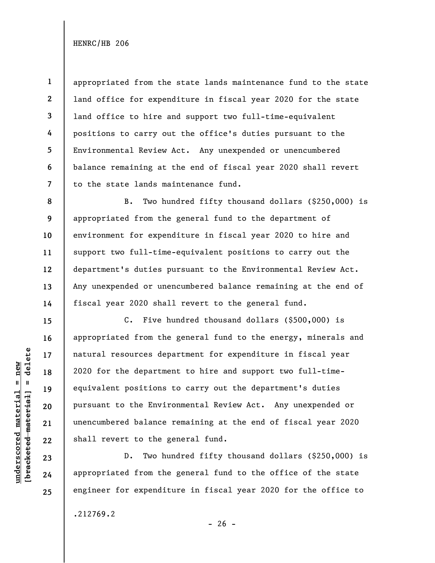**1 2 3 4 5 7**  appropriated from the state lands maintenance fund to the state land office for expenditure in fiscal year 2020 for the state land office to hire and support two full-time-equivalent positions to carry out the office's duties pursuant to the Environmental Review Act. Any unexpended or unencumbered balance remaining at the end of fiscal year 2020 shall revert to the state lands maintenance fund.

B. Two hundred fifty thousand dollars (\$250,000) is appropriated from the general fund to the department of environment for expenditure in fiscal year 2020 to hire and support two full-time-equivalent positions to carry out the department's duties pursuant to the Environmental Review Act. Any unexpended or unencumbered balance remaining at the end of fiscal year 2020 shall revert to the general fund.

C. Five hundred thousand dollars (\$500,000) is appropriated from the general fund to the energy, minerals and natural resources department for expenditure in fiscal year 2020 for the department to hire and support two full-timeequivalent positions to carry out the department's duties pursuant to the Environmental Review Act. Any unexpended or unencumbered balance remaining at the end of fiscal year 2020 shall revert to the general fund.

D. Two hundred fifty thousand dollars (\$250,000) is appropriated from the general fund to the office of the state engineer for expenditure in fiscal year 2020 for the office to

.212769.2

 $b$ racketed material] = delete **[bracketed material] = delete**  $underscored$  material = new **underscored material = new**

**6** 

**8** 

**9** 

**10** 

**11** 

**12** 

**13** 

**14** 

**15** 

**16** 

**17** 

**18** 

**19** 

**20** 

**21** 

**22** 

**23** 

**24** 

**25** 

 $- 26 -$